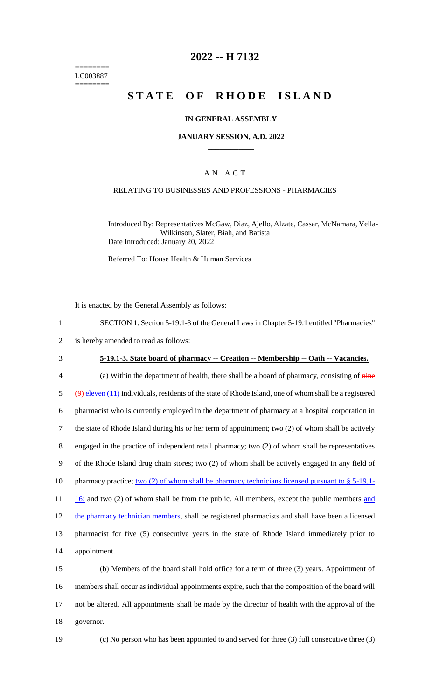======== LC003887 ========

## **2022 -- H 7132**

# **STATE OF RHODE ISLAND**

### **IN GENERAL ASSEMBLY**

#### **JANUARY SESSION, A.D. 2022 \_\_\_\_\_\_\_\_\_\_\_\_**

### A N A C T

### RELATING TO BUSINESSES AND PROFESSIONS - PHARMACIES

Introduced By: Representatives McGaw, Diaz, Ajello, Alzate, Cassar, McNamara, Vella-Wilkinson, Slater, Biah, and Batista Date Introduced: January 20, 2022

Referred To: House Health & Human Services

It is enacted by the General Assembly as follows:

2 is hereby amended to read as follows:

## 3 **5-19.1-3. State board of pharmacy -- Creation -- Membership -- Oath -- Vacancies.**

4 (a) Within the department of health, there shall be a board of pharmacy, consisting of  $\frac{m}{n}$  $\frac{99}{9}$  eleven (11) individuals, residents of the state of Rhode Island, one of whom shall be a registered 6 pharmacist who is currently employed in the department of pharmacy at a hospital corporation in 7 the state of Rhode Island during his or her term of appointment; two (2) of whom shall be actively 8 engaged in the practice of independent retail pharmacy; two (2) of whom shall be representatives 9 of the Rhode Island drug chain stores; two (2) of whom shall be actively engaged in any field of 10 pharmacy practice; two (2) of whom shall be pharmacy technicians licensed pursuant to § 5-19.1- $11 \quad 16$ ; and two (2) of whom shall be from the public. All members, except the public members and 12 the pharmacy technician members, shall be registered pharmacists and shall have been a licensed 13 pharmacist for five (5) consecutive years in the state of Rhode Island immediately prior to 14 appointment.

 (b) Members of the board shall hold office for a term of three (3) years. Appointment of members shall occur as individual appointments expire, such that the composition of the board will not be altered. All appointments shall be made by the director of health with the approval of the governor.

19 (c) No person who has been appointed to and served for three (3) full consecutive three (3)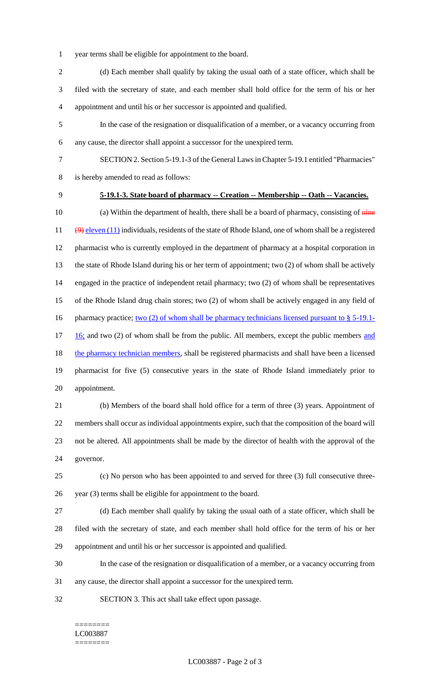- year terms shall be eligible for appointment to the board.
- 2 (d) Each member shall qualify by taking the usual oath of a state officer, which shall be filed with the secretary of state, and each member shall hold office for the term of his or her appointment and until his or her successor is appointed and qualified.
- In the case of the resignation or disqualification of a member, or a vacancy occurring from any cause, the director shall appoint a successor for the unexpired term.
- SECTION 2. Section 5-19.1-3 of the General Laws in Chapter 5-19.1 entitled "Pharmacies" is hereby amended to read as follows:
- 

## **5-19.1-3. State board of pharmacy -- Creation -- Membership -- Oath -- Vacancies.**

10 (a) Within the department of health, there shall be a board of pharmacy, consisting of  $\frac{1}{n}$  $(9)$  eleven (11) individuals, residents of the state of Rhode Island, one of whom shall be a registered pharmacist who is currently employed in the department of pharmacy at a hospital corporation in the state of Rhode Island during his or her term of appointment; two (2) of whom shall be actively engaged in the practice of independent retail pharmacy; two (2) of whom shall be representatives of the Rhode Island drug chain stores; two (2) of whom shall be actively engaged in any field of 16 pharmacy practice; two (2) of whom shall be pharmacy technicians licensed pursuant to § 5-19.1- $17 \quad 16$ ; and two (2) of whom shall be from the public. All members, except the public members and 18 the pharmacy technician members, shall be registered pharmacists and shall have been a licensed pharmacist for five (5) consecutive years in the state of Rhode Island immediately prior to appointment.

 (b) Members of the board shall hold office for a term of three (3) years. Appointment of members shall occur as individual appointments expire, such that the composition of the board will not be altered. All appointments shall be made by the director of health with the approval of the governor.

 (c) No person who has been appointed to and served for three (3) full consecutive three-year (3) terms shall be eligible for appointment to the board.

 (d) Each member shall qualify by taking the usual oath of a state officer, which shall be filed with the secretary of state, and each member shall hold office for the term of his or her appointment and until his or her successor is appointed and qualified.

- In the case of the resignation or disqualification of a member, or a vacancy occurring from
- any cause, the director shall appoint a successor for the unexpired term.
- SECTION 3. This act shall take effect upon passage.

#### ======== LC003887 ========